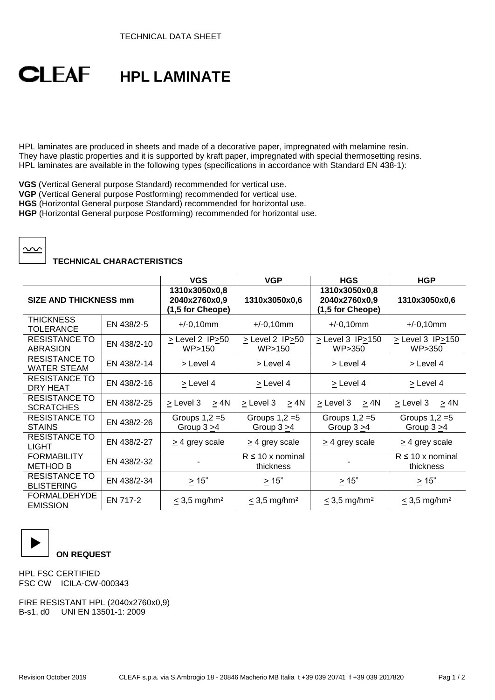# **CI FAF HPL LAMINATE**

HPL laminates are produced in sheets and made of a decorative paper, impregnated with melamine resin. They have plastic properties and it is supported by kraft paper, impregnated with special thermosetting resins. HPL laminates are available in the following types (specifications in accordance with Standard EN 438-1):

**VGS** (Vertical General purpose Standard) recommended for vertical use.

**VGP** (Vertical General purpose Postforming) recommended for vertical use.

**HGS** (Horizontal General purpose Standard) recommended for horizontal use.

**HGP** (Horizontal General purpose Postforming) recommended for horizontal use.

#### **TECHNICAL CHARACTERISTICS**

|                                            |             | <b>VGS</b>                                         | <b>VGP</b>                           | <b>HGS</b>                                         | <b>HGP</b>                           |
|--------------------------------------------|-------------|----------------------------------------------------|--------------------------------------|----------------------------------------------------|--------------------------------------|
| <b>SIZE AND THICKNESS mm</b>               |             | 1310x3050x0,8<br>2040x2760x0,9<br>(1,5 for Cheope) | 1310x3050x0,6                        | 1310x3050x0,8<br>2040x2760x0,9<br>(1,5 for Cheope) | 1310x3050x0,6                        |
| <b>THICKNESS</b><br><b>TOLERANCE</b>       | EN 438/2-5  | $+/-0,10mm$                                        | $+/-0,10mm$                          | $+/-0,10mm$                                        | $+/-0,10mm$                          |
| <b>RESISTANCE TO</b><br>ABRASION           | EN 438/2-10 | > Level 2 IP>50<br>WP>150                          | $\ge$ Level 2 IP>50<br>WP>150        | > Level 3 IP>150<br>WP>350                         | $\ge$ Level 3 IP $\ge$ 150<br>WP>350 |
| <b>RESISTANCE TO</b><br><b>WATER STEAM</b> | EN 438/2-14 | > Level 4                                          | > Level 4                            | > Level 4                                          | > Level 4                            |
| <b>RESISTANCE TO</b><br>DRY HEAT           | EN 438/2-16 | > Level 4                                          | > Level 4                            | > Level 4                                          | > Level 4                            |
| <b>RESISTANCE TO</b><br><b>SCRATCHES</b>   | EN 438/2-25 | > Level 3<br>$\geq$ 4N                             | $\geq$ 4N<br>> Level 3               | $\geq$ Level 3<br>> 4N                             | > Level 3<br>> 4N                    |
| <b>RESISTANCE TO</b><br><b>STAINS</b>      | EN 438/2-26 | Groups $1,2 = 5$<br>Group $3 \geq 4$               | Groups $1,2 = 5$<br>Group $3 \geq 4$ | Groups $1,2 = 5$<br>Group $3 \geq 4$               | Groups $1,2 = 5$<br>Group $3 \geq 4$ |
| <b>RESISTANCE TO</b><br><b>LIGHT</b>       | EN 438/2-27 | $\geq$ 4 grey scale                                | $\geq$ 4 grey scale                  | $\geq$ 4 grey scale                                | $\geq$ 4 grey scale                  |
| <b>FORMABILITY</b><br><b>METHOD B</b>      | EN 438/2-32 |                                                    | $R \leq 10$ x nominal<br>thickness   |                                                    | $R \leq 10$ x nominal<br>thickness   |
| <b>RESISTANCE TO</b><br><b>BLISTERING</b>  | EN 438/2-34 | $\geq 15$ "                                        | $\geq 15$ "                          | $\geq 15"$                                         | $\geq 15"$                           |
| <b>FORMALDEHYDE</b><br><b>EMISSION</b>     | EN 717-2    | $\leq$ 3,5 mg/hm <sup>2</sup>                      | $\leq$ 3,5 mg/hm <sup>2</sup>        | $\leq$ 3,5 mg/hm <sup>2</sup>                      | $\leq$ 3,5 mg/hm <sup>2</sup>        |

 **ON REQUEST**

HPL FSC CERTIFIED FSC CW ICILA-CW-000343

FIRE RESISTANT HPL (2040x2760x0,9) B-s1, d0 UNI EN 13501-1: 2009